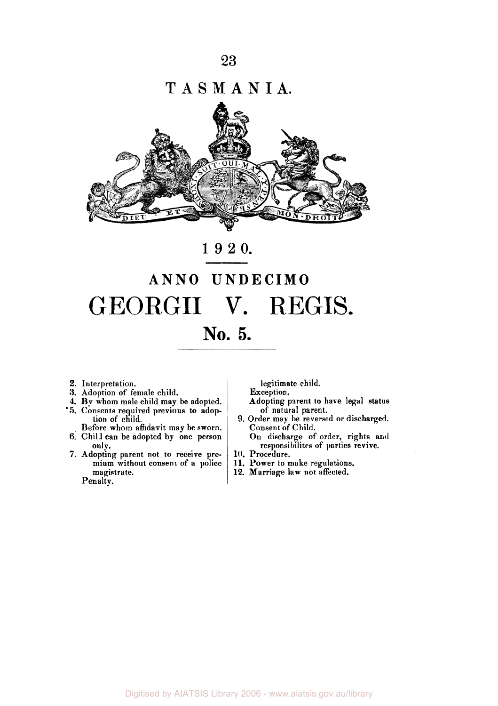T **A** S **M A N I A.** 



## **1920.**

## **ANN0 UNDECIMO**  GEORGII V. REGIS. **No. 5.**

- **2.** Interpretation.
- **3.** Adoption of female child.
- **4.** By whom male child may be adopted.
- '5. Consents required previous to adoption of child.
- Before whom affidavit may be sworn. 6. Child can be adopted by one person
- only. **7.** Adopting parent not to receive premium without consent of **a** police magistrate.

Penalty.

legitimate child.

Exception.

- Adopting parent to have legal **status**  of natural parent.
- 9. Order may be reversed or discharged. Consent of Child.
	- On discharge of order, rights and responsibilites of parties revive.
- **10.** Procedure.
- **11.** Power to make regulations.
- 12. Marriage law not affected.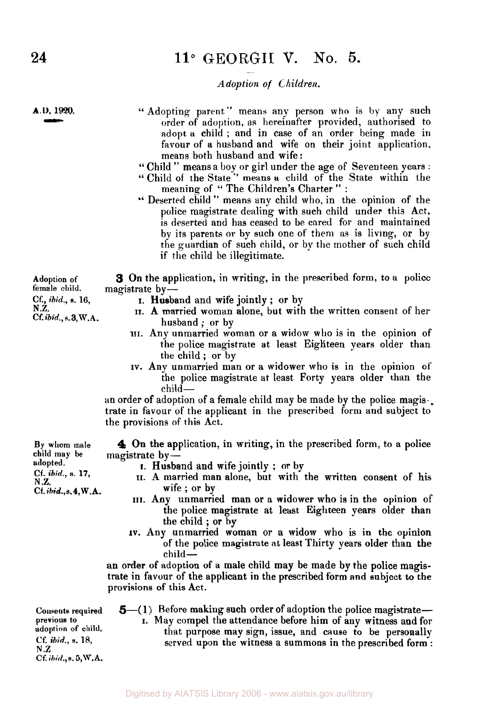### **11"** GEORGII **V.** No. **5.**

*Adoption of Children.* 

**A.D. 1920.** *-*  $\overline{\phantom{a}}$ 

"Adopting parent" means any person who is by any such order of adoption, as hereinafter provided, authorised to adopt a child ; and in case of an order being made in favour of a husband and wife on their joint application, means both husband and wife:

- '' Child " means a **boy** or girl under the age of Seventeen years :
- " Child of the State" means a child of the State within the meaning of "The Children's Charter" :
- " Deserted child " means any child who, in the opinion of the police magistrate dealing with such child under this Act, is deserted and has ceased to be cared for and maintained by its parents or by such one of them as is living, or by the guardian of such child, or by **the** mother of such child if the child be illegitimate.

magistrate by-**3** On the application, in writing, in the prescribed form, to a police

- I. Husband and wife jointly ; or by
- II. **A** married woman alone, but with the written consent of her husband; or by
- **III.** Any unmarried woman or a widow who is in the opinion of the police magistrate at least Eighteen years older than the child ; or by
- **IV.** Any unmarried man or a widower who is in the opinion of the police magistrate at least Forty years older than the child-

an order of adoption of a female child may be made by the police magis-. trate in favour of the applicant in the prescribed form and subject to the provisions of this Act.

**4** On the application, in writing, in the prescribed form, to a police

- I. Husband and wife jointly ; or by
- **II.** A married man alone, but with the written consent of his wife ; or by
- III. Any unmarried man or a widower who is in the opinion of the police magistrate at least Eighteen years older than the child ; or by
- **iv.** Any unmarried woman or a widow who is in the opinion of the police magistrate at least Thirty years older than the child-

an order of adoption of a male child may be made by the police magistrate in favour of the applicant in the prescribed form and subject to the provisions of this Act.

**Consents required previous to adoption of child. Cf.** *ibid.,* **s. 18,**  N.Z **Cf** *ibid.,* **e. 5,W.A.** 

- **5**—(1) Before making such order of adoption the police magistrate— I. May compel the attendance before him of any witness and for
	- that purpose may sign, issue, and cause to be personally served upon the witness a summons in the prescribed form :

**Adoption of cf.,** ibid., **s. 16, N.Z.** 

**Cf.** *ibid.,* **s.3,W.A.** 

**By whom male child may** be magistrate by- **adopted. Cf.** *ibid.,* **a. 17, N .Z. Cf.** *ibid.,s.4,* **W.A.**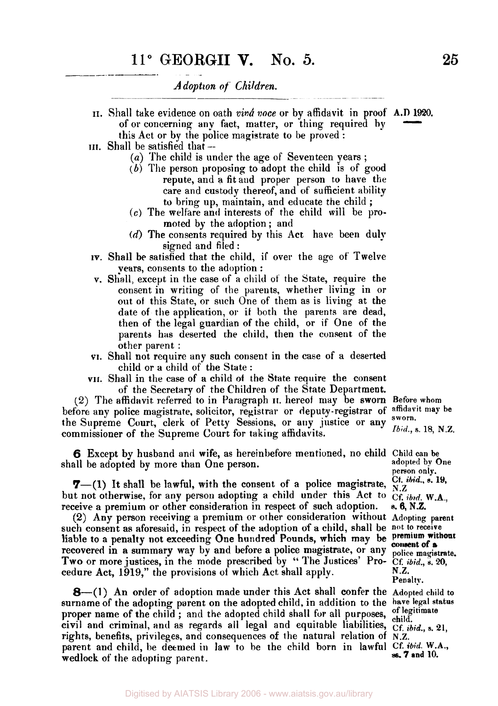*A doption of Children.* 

- **II.** Shall take evidence on oath *vinâ voce* or by affidavit in proof **A.D 1920.**  of or concerning any fact, matter, or thing required by  $\frac{D}{}^{1920}$ 
	- this Act or by the police magistrate to be proved :
- **III.** Shall be satisfied that --
	- (a) The child is under the age of Seventeen years;
	- $(b)$  The person proposing to adopt the child is of good repute, and a fit and proper person to have the care and custody thereof, and of sufficient ability to bring up, maintain, and educate the child ;
	- *(c)* The welfare and interests of the child will be promoted by the adoption; and
	- **(d)** The consents required by this Act have been duly signed and filed :
- iv. Shall besatisfied that the child, if over the age of Twelve years, consents to the adoption :
- v. **Shall,** except in the case of a child **of** the State, require the consent in writing of the parents, whether living in or out of this State, or such One of them as is living at the date of the application, or if both the parents are dead, then of the legal guardian of the child, or if One of the parents has deserted the child, then the consent of the other parent :
- **VI.** Shall not require any such consent in the case of a deserted child or a child of the State :
- VII. Shall in the case of a child **of** the **State** require the consent of the Secretary of the Children of the State Department.

(2) The affidavit. referred to in Paragraph **II.** hereof may be sworn **Before whom**  before any police magistrate, solicitor, registrar or deputy-registrar of **affidavit may be** the Supreme Court, clerk of Petty Sessions, or any justice or any **sworn. Ibid., s. 18, N.Z.** commissioner of the Supreme Court for taking affidavits.

**6** Except by husband and wife, as hereinbefore mentioned, no child **Child** can **be**  shall be adopted by more than One person.

**7**—(1) It shall be lawful, with the consent of a police magistrate,  $\frac{C_t}{N}$ ,  $\frac{b\dot{r}}{N}$ ,  $\frac{s}{N}$ . but not otherwise, for any person adopting a child under this Act to  $CF$ , *ibid.* W.A., receive a premium or other consideration in respect of such adoption.

*(2)* Any person receiving a premium or other considerarion without Adopting **parent**  such consent as aforesaid, in respect of the adoption of a child, shall be not to receive<br>liable to a penalty not exceeding One hundred Pounds, which may be premium without liable to a penalty not exceeding One hundred Pounds, which may be recovered in **a** summary way by and before **a** police magistrate, or any **police magistrate.**  Two or more justices, in the mode prescribed by "The Justices' Pro- Cf. *ibid.*, *s.* 20, cedure Act. 1919." the provisions of which Act shall apply. cedure Act, 1919," the provisions of which Act shall apply.

**8**—(1) An order of adoption made under this Act shall confer the Adopted child to surname of the adopting parent on the adopted child, in addition to the have legal status proper name of the child; and the adopted child shall for all purposes, of legitimate proper name of the child; and the adopted child shall for all purposes, of legitimate civil and criminal, and as regards all legal and equitable liabilities,  $Cf$ , *ibid.*, s. 21, rights, benefits, privileges, and consequences *of* the natural relation of **N.Z.**  parent and child, be deemed in law to be the child born in lawful Cf. *ibid.* W.A., wedlook of the eduction parent. *x* **<b>edlock** of the adopting parent.

**person only. s. 6, N.Z. consent of a Penalty.**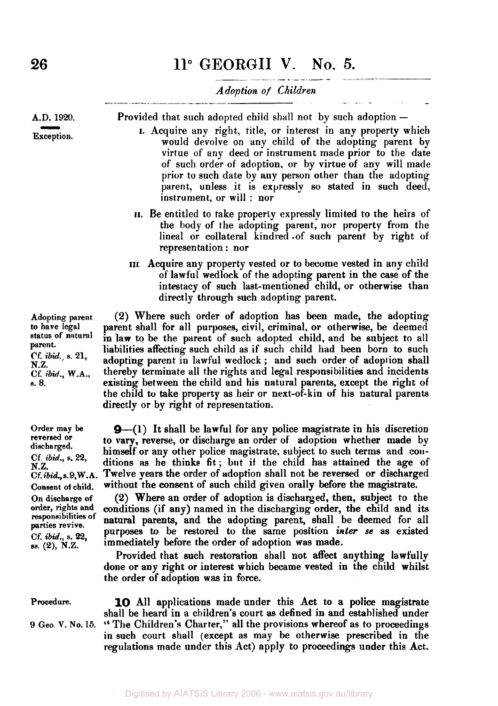# *Adoption of Children*

**A.D. 1920.** 

**Exception.**  D. 1920.

Provided that such adopted child shall not by such adoption -

- I. Acquire any right, title, or interest in any property which would devolve on any child of the adopting parent by virtue of any deed or instrument made prior to the date of such order of adoption, or by virtue of any will made prior to such date by any person other than the adopting parent, unless it is expressly so stated in such deed, instrument, or will : nor
- **II.** Be entitled to take property expressly limited to the heirs of the body of the adopting parent, nor property from the lineal or collateral kindred -of such parent by right of representation : nor
- **III** Acquire any property vested or to become vested in any child of lawful wedlock of the adopting parent in the case of the intestacy of such last-mentioned child, or otherwise than directly through such adopting parent.

**(2)** Where such order of adoption has been made, the adopting parent shall for all purposes, civil, criminal, or otherwise, be deemed in law to be the parent of such adopted child, and be subject to all liabilities affecting such child as if such child had been born to such adopting parent in lawful wedlock ; and such order of adoption shall thereby terminate all the rights and legal responsibilities and incidents existing between the child and his natural parents, except the right of the child to take property **as** heir or next-of-kin of his natural parents directly or by right of representation.

**9**-(1) It shall be lawful for any police magistrate in his discretion to vary, reverse, or discharge an order of adoption whether made by himself or any other police magistrate, subject to such terms and conditions **as** he thinks fit; but if the child has attained the age of Twelve years the order of adoption shall not be reversed or discharged without the consent of such child given orally before the magistrate.

**(2)** Where an order of adoption is discharged, then, subject **to** the conditions (if any) named in the discharging order, the child and its natural parents, and the adopting parent, shall be deemed for all purposes to be restored to the same position inter **se as** existed immediately before the order of adoption was made.

Provided that such restoration shall not affect anything lawfully done or any right or interest which became vested in the child whilst the order of adoption **was** in force.

#### **Procedure.**

9 Geo. V. No. 15. " The Children's Charter," all the provisions whereof as to proceedings **10** All applications made under this Act to a police magistrate shall be heard in a children's court as defined in and established under in such court shall (except as may be otherwise prescribed in the regulations made under this Act) apply to proceedings under this Act.

**Adopting parent to have legal status of natural parent. Cf.** *ibid.,* **S. 21, N.Z. Cf.** *ibid.,* **W.A., S.** *8.* 

**Order may be reversed or discharged. Cf.** *ibid.,* **s. 22, N.Z.**  *Cf-ibid.,* **s.9,W. A. Consent of child. On discharge of order, rights and responsibilities of parties revive. cf.** *ibid.,* **s. 22, ss. (2), N.Z.**